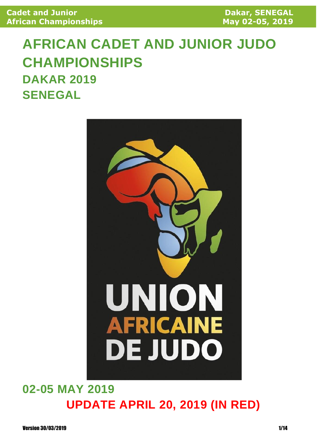# **AFRICAN CADET AND JUNIOR JUDO CHAMPIONSHIPS DAKAR 2019 SENEGAL**



# **02-05 MAY 2019 UPDATE APRIL 20, 2019 (IN RED)**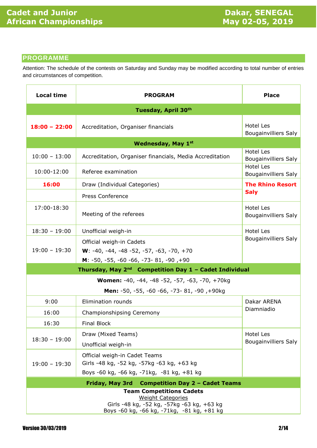### **PROGRAMME**

Attention: The schedule of the contests on Saturday and Sunday may be modified according to total number of entries and circumstances of competition.

| <b>Local time</b>                                                                                                                                       | <b>PROGRAM</b>                                                              | <b>Place</b>                                    |  |  |
|---------------------------------------------------------------------------------------------------------------------------------------------------------|-----------------------------------------------------------------------------|-------------------------------------------------|--|--|
| Tuesday, April 30th                                                                                                                                     |                                                                             |                                                 |  |  |
| $18:00 - 22:00$                                                                                                                                         | Accreditation, Organiser financials                                         | <b>Hotel Les</b><br><b>Bougainvilliers Saly</b> |  |  |
|                                                                                                                                                         | <b>Wednesday, May 1st</b>                                                   |                                                 |  |  |
| $10:00 - 13:00$                                                                                                                                         | Accreditation, Organiser financials, Media Accreditation                    | <b>Hotel Les</b><br><b>Bougainvilliers Saly</b> |  |  |
| 10:00-12:00                                                                                                                                             | Referee examination                                                         | <b>Hotel Les</b><br><b>Bougainvilliers Saly</b> |  |  |
| 16:00                                                                                                                                                   | Draw (Individual Categories)                                                | <b>The Rhino Resort</b>                         |  |  |
|                                                                                                                                                         | Press Conference                                                            | <b>Saly</b>                                     |  |  |
| 17:00-18:30                                                                                                                                             | Meeting of the referees                                                     | <b>Hotel Les</b><br><b>Bougainvilliers Saly</b> |  |  |
| $18:30 - 19:00$                                                                                                                                         | Unofficial weigh-in                                                         | <b>Hotel Les</b>                                |  |  |
|                                                                                                                                                         | Official weigh-in Cadets                                                    | <b>Bougainvilliers Saly</b>                     |  |  |
| $19:00 - 19:30$                                                                                                                                         | W: $-40, -44, -48 -52, -57, -63, -70, +70$                                  |                                                 |  |  |
|                                                                                                                                                         | M: $-50$ , $-55$ , $-60$ $-66$ , $-73$ $-81$ , $-90$ , $+90$                |                                                 |  |  |
|                                                                                                                                                         | Thursday, May 2 <sup>nd</sup> Competition Day 1 - Cadet Individual          |                                                 |  |  |
|                                                                                                                                                         | Women: -40, -44, -48 -52, -57, -63, -70, +70kg                              |                                                 |  |  |
|                                                                                                                                                         | Men: -50, -55, -60 -66, -73- 81, -90, +90kg                                 |                                                 |  |  |
| 9:00                                                                                                                                                    | Elimination rounds                                                          | Dakar ARENA                                     |  |  |
| 16:00                                                                                                                                                   | Championshipsing Ceremony                                                   | Diamniadio                                      |  |  |
| 16:30                                                                                                                                                   | Final Block                                                                 |                                                 |  |  |
| $18:30 - 19:00$                                                                                                                                         | Draw (Mixed Teams)                                                          | Hotel Les                                       |  |  |
|                                                                                                                                                         | Unofficial weigh-in                                                         | <b>Bougainvilliers Saly</b>                     |  |  |
| $19:00 - 19:30$                                                                                                                                         | Official weigh-in Cadet Teams<br>Girls -48 kg, -52 kg, -57kg -63 kg, +63 kg |                                                 |  |  |
|                                                                                                                                                         | Boys -60 kg, -66 kg, -71kg, -81 kg, +81 kg                                  |                                                 |  |  |
| <b>Competition Day 2 - Cadet Teams</b><br><b>Friday, May 3rd</b>                                                                                        |                                                                             |                                                 |  |  |
| <b>Team Competitions Cadets</b><br><b>Weight Categories</b><br>Girls -48 kg, -52 kg, -57kg -63 kg, +63 kg<br>Boys -60 kg, -66 kg, -71kg, -81 kg, +81 kg |                                                                             |                                                 |  |  |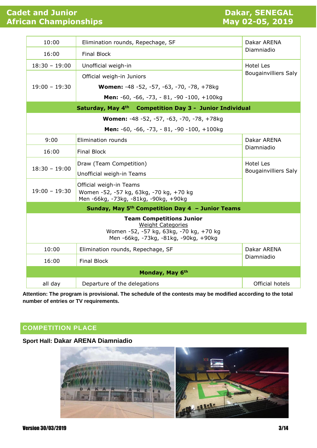## **Cadet and Junior Cadet and Junior Cadet and Junior Cadet African Championships**<br> **Cadet and Junior Championships**<br> **Dakar, SENEGAL**<br>
May 02-05, 2019 **African Championships**

| 10:00           | Elimination rounds, Repechage, SF                                                                                                               | Dakar ARENA<br>Diamniadio                       |  |  |
|-----------------|-------------------------------------------------------------------------------------------------------------------------------------------------|-------------------------------------------------|--|--|
| 16:00           | <b>Final Block</b>                                                                                                                              |                                                 |  |  |
| $18:30 - 19:00$ | Unofficial weigh-in                                                                                                                             | <b>Hotel Les</b><br><b>Bougainvilliers Saly</b> |  |  |
|                 | Official weigh-in Juniors                                                                                                                       |                                                 |  |  |
| $19:00 - 19:30$ | Women: -48 -52, -57, -63, -70, -78, +78kg                                                                                                       |                                                 |  |  |
|                 | Men: $-60, -66, -73, -81, -90, -100, +100$ kg                                                                                                   |                                                 |  |  |
|                 | Saturday, May 4th Competition Day 3 - Junior Individual                                                                                         |                                                 |  |  |
|                 | Women: -48 -52, -57, -63, -70, -78, +78kg                                                                                                       |                                                 |  |  |
|                 | Men: -60, -66, -73, - 81, -90 -100, +100kg                                                                                                      |                                                 |  |  |
| 9:00            | Elimination rounds                                                                                                                              | Dakar ARENA                                     |  |  |
| 16:00           | <b>Final Block</b>                                                                                                                              | Diamniadio                                      |  |  |
|                 | Draw (Team Competition)                                                                                                                         | Hotel Les                                       |  |  |
| $18:30 - 19:00$ | Unofficial weigh-in Teams                                                                                                                       | <b>Bougainvilliers Saly</b>                     |  |  |
|                 | Official weigh-in Teams                                                                                                                         |                                                 |  |  |
| $19:00 - 19:30$ | Women -52, -57 kg, 63kg, -70 kg, +70 kg<br>Men -66kg, -73kg, -81kg, -90kg, +90kg                                                                |                                                 |  |  |
|                 | Sunday, May $5th$ Competition Day 4 - Junior Teams                                                                                              |                                                 |  |  |
|                 | <b>Team Competitions Junior</b><br><b>Weight Categories</b><br>Women -52, -57 kg, 63kg, -70 kg, +70 kg<br>Men -66kg, -73kg, -81kg, -90kg, +90kg |                                                 |  |  |
| 10:00           | Elimination rounds, Repechage, SF                                                                                                               | Dakar ARENA                                     |  |  |
| 16:00           | <b>Final Block</b>                                                                                                                              | Diamniadio                                      |  |  |
| Monday, May 6th |                                                                                                                                                 |                                                 |  |  |
| all day         | Departure of the delegations                                                                                                                    | Official hotels                                 |  |  |

**Attention: The program is provisional. The schedule of the contests may be modified according to the total number of entries or TV requirements.**

## **COMPETITION PLACE**

### **Sport Hall: Dakar ARENA Diamniadio**

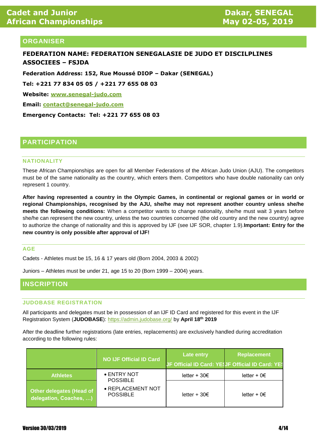### **ORGANISER**

**FEDERATION NAME: FEDERATION SENEGALASIE DE JUDO ET DISCILPLINES ASSOCIEES – FSJDA** 

**Federation Address: 152, Rue Moussé DIOP – Dakar (SENEGAL)**

**Tel: +221 77 834 05 05 / +221 77 655 08 03**

**Website: [www.senegal-judo.com](http://www.senegal-judo.com/)**

**Email: [contact@senegal-judo.com](mailto:contact@senegal-judo.com)**

**Emergency Contacts: Tel: +221 77 655 08 03**

### **PARTICIPATION**

#### **NATIONALITY**

These African Championships are open for all Member Federations of the African Judo Union (AJU). The competitors must be of the same nationality as the country, which enters them. Competitors who have double nationality can only represent 1 country.

**After having represented a country in the Olympic Games, in continental or regional games or in world or regional Championships, recognised by the AJU, she/he may not represent another country unless she/he meets the following conditions:** When a competitor wants to change nationality, she/he must wait 3 years before she/he can represent the new country, unless the two countries concerned (the old country and the new country) agree to authorize the change of nationality and this is approved by IJF (see IJF SOR, chapter 1.9).**Important: Entry for the new country is only possible after approval of IJF!**

#### **AGE**

Cadets - Athletes must be 15, 16 & 17 years old (Born 2004, 2003 & 2002)

Juniors – Athletes must be under 21, age 15 to 20 (Born 1999 – 2004) years.

### **INSCRIPTION**

#### **JUDOBASE REGISTRATION**

All participants and delegates must be in possession of an IJF ID Card and registered for this event in the IJF Registration System (**JUDOBASE**):<https://admin.judobase.org/> by **April 18th 2019**

After the deadline further registrations (late entries, replacements) are exclusively handled during accreditation according to the following rules:

|                                                           | <b>NO IJF Official ID Card</b>       | <b>Late entry</b>     | <b>Replacement</b><br>JF Official ID Card: YEUF Official ID Card: YES |
|-----------------------------------------------------------|--------------------------------------|-----------------------|-----------------------------------------------------------------------|
| <b>Athletes</b>                                           | • ENTRY NOT<br><b>POSSIBLE</b>       | letter + $30\epsilon$ | letter + $0 \in$                                                      |
| <b>Other delegates (Head of</b><br>delegation, Coaches, ) | • REPLACEMENT NOT<br><b>POSSIBLE</b> | letter + $30 \in$     | letter + $0 \in$                                                      |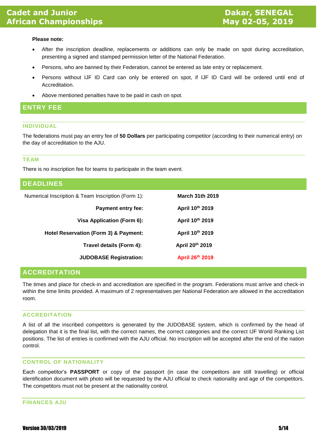#### **Please note:**

- After the inscription deadline, replacements or additions can only be made on spot during accreditation, presenting a signed and stamped permission letter of the National Federation.
- Persons, who are banned by their Federation, cannot be entered as late entry or replacement.
- Persons without IJF ID Card can only be entered on spot, if IJF ID Card will be ordered until end of Accreditation.
- Above mentioned penalties have to be paid in cash on spot.

### **ENTRY FEE**

#### **INDIVIDUAL**

The federations must pay an entry fee of **50 Dollars** per participating competitor (according to their numerical entry) on the day of accreditation to the AJU.

#### **TEAM**

There is no inscription fee for teams to participate in the team event.

| <b>DEADLINES</b>                                   |                        |  |
|----------------------------------------------------|------------------------|--|
| Numerical Inscription & Team Inscription (Form 1): | <b>March 31th 2019</b> |  |
| <b>Payment entry fee:</b>                          | April 10th 2019        |  |
| Visa Application (Form 6):                         | April 10th 2019        |  |
| Hotel Reservation (Form 3) & Payment:              | April 10th 2019        |  |
| Travel details (Form 4):                           | April 20th 2019        |  |
| <b>JUDOBASE Registration:</b>                      | April 26th 2019        |  |

### **ACCREDITATION**

The times and place for check-in and accreditation are specified in the program. Federations must arrive and check-in within the time limits provided. A maximum of 2 representatives per National Federation are allowed in the accreditation room.

#### **ACCREDITATION**

A list of all the inscribed competitors is generated by the JUDOBASE system, which is confirmed by the head of delegation that it is the final list, with the correct names, the correct categories and the correct IJF World Ranking List positions. The list of entries is confirmed with the AJU official. No inscription will be accepted after the end of the nation control.

#### **CONTROL OF NATIONALITY**

Each competitor's **PASSPORT** or copy of the passport (in case the competitors are still travelling) or official identification document with photo will be requested by the AJU official to check nationality and age of the competitors. The competitors must not be present at the nationality control.

#### **FINANCES AJU**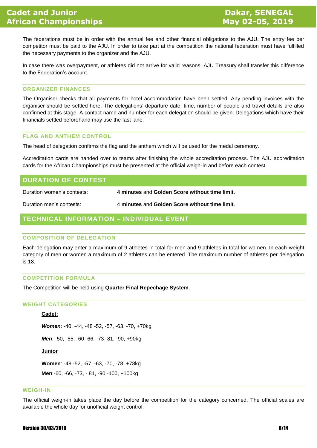The federations must be in order with the annual fee and other financial obligations to the AJU. The entry fee per competitor must be paid to the AJU. In order to take part at the competition the national federation must have fulfilled the necessary payments to the organizer and the AJU.

In case there was overpayment, or athletes did not arrive for valid reasons, AJU Treasury shall transfer this difference to the Federation's account.

#### **ORGANIZER FINANCES**

The Organiser checks that all payments for hotel accommodation have been settled. Any pending invoices with the organiser should be settled here. The delegations' departure date, time, number of people and travel details are also confirmed at this stage. A contact name and number for each delegation should be given. Delegations which have their financials settled beforehand may use the fast lane.

#### **FLAG AND ANTHEM CONTROL**

The head of delegation confirms the flag and the anthem which will be used for the medal ceremony.

Accreditation cards are handed over to teams after finishing the whole accreditation process. The AJU accreditation cards for the African Championships must be presented at the official weigh-in and before each contest.

#### **DURATION OF CONTEST**

Duration women's contests: **4 minutes** and **Golden Score without time limit**.

Duration men's contests: 4 **minutes** and **Golden Score without time limit**.

### **TECHNICAL INFORMATION – INDIVIDUAL EVENT**

#### **COMPOSITION OF DELEGATION**

Each delegation may enter a maximum of 9 athletes in total for men and 9 athletes in total for women. In each weight category of men or women a maximum of 2 athletes can be entered. The maximum number of athletes per delegation is 18.

#### **COMPETITION FORMULA**

The Competition will be held using **Quarter Final Repechage System**.

#### **WEIGHT CATEGORIES**

#### **Cadet:**

*Women*: -40, -44, -48 -52, -57, -63, -70, +70kg

*Men*: -50, -55, -60 -66, -73- 81, -90, +90kg

#### **Junior**

**Women**: -48 -52, -57, -63, -70, -78, +78kg

**Men**:-60, -66, -73, - 81, -90 -100, +100kg

#### **WEIGH-IN**

The official weigh-in takes place the day before the competition for the category concerned. The official scales are available the whole day for unofficial weight control.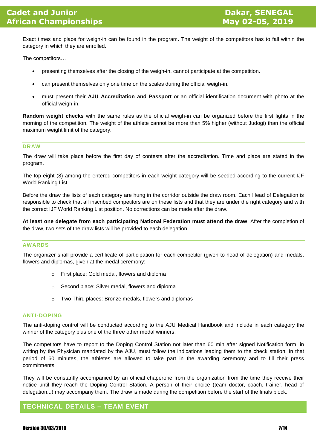Exact times and place for weigh-in can be found in the program. The weight of the competitors has to fall within the category in which they are enrolled.

The competitors…

- presenting themselves after the closing of the weigh-in, cannot participate at the competition.
- can present themselves only one time on the scales during the official weigh-in.
- must present their **AJU Accreditation and Passport** or an official identification document with photo at the official weigh-in.

**Random weight checks** with the same rules as the official weigh-in can be organized before the first fights in the morning of the competition. The weight of the athlete cannot be more than 5% higher (without Judogi) than the official maximum weight limit of the category.

#### **DRAW**

The draw will take place before the first day of contests after the accreditation. Time and place are stated in the program.

The top eight (8) among the entered competitors in each weight category will be seeded according to the current IJF World Ranking List.

Before the draw the lists of each category are hung in the corridor outside the draw room. Each Head of Delegation is responsible to check that all inscribed competitors are on these lists and that they are under the right category and with the correct IJF World Ranking List position. No corrections can be made after the draw.

**At least one delegate from each participating National Federation must attend the draw**. After the completion of the draw, two sets of the draw lists will be provided to each delegation.

#### **AWARDS**

The organizer shall provide a certificate of participation for each competitor (given to head of delegation) and medals, flowers and diplomas, given at the medal ceremony:

- o First place: Gold medal, flowers and diploma
- o Second place: Silver medal, flowers and diploma
- o Two Third places: Bronze medals, flowers and diplomas

#### **ANTI-DOPING**

The anti-doping control will be conducted according to the AJU Medical Handbook and include in each category the winner of the category plus one of the three other medal winners.

The competitors have to report to the Doping Control Station not later than 60 min after signed Notification form, in writing by the Physician mandated by the AJU, must follow the indications leading them to the check station. In that period of 60 minutes, the athletes are allowed to take part in the awarding ceremony and to fill their press commitments.

They will be constantly accompanied by an official chaperone from the organization from the time they receive their notice until they reach the Doping Control Station. A person of their choice (team doctor, coach, trainer, head of delegation...) may accompany them. The draw is made during the competition before the start of the finals block.

### **TECHNICAL DETAILS – TEAM EVENT**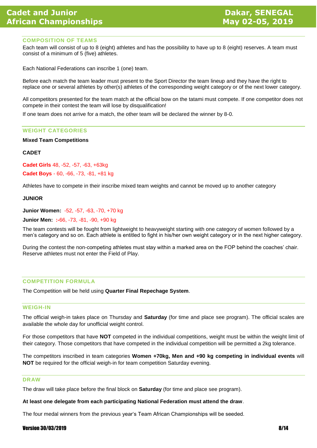#### **COMPOSITION OF TEAMS**

Each team will consist of up to 8 (eight) athletes and has the possibility to have up to 8 (eight) reserves. A team must consist of a minimum of 5 (five) athletes.

Each National Federations can inscribe 1 (one) team.

Before each match the team leader must present to the Sport Director the team lineup and they have the right to replace one or several athletes by other(s) athletes of the corresponding weight category or of the next lower category.

All competitors presented for the team match at the official bow on the tatami must compete. If one competitor does not compete in their contest the team will lose by disqualification!

If one team does not arrive for a match, the other team will be declared the winner by 8-0.

#### **WEIGHT CATEGORIES**

#### **Mixed Team Competitions**

#### **CADET**

**Cadet Girls** 48, -52, -57, -63, +63kg **Cadet Boys** - 60, -66, -73, -81, +81 kg

Athletes have to compete in their inscribe mixed team weights and cannot be moved up to another category

#### **JUNIOR**

**Junior Women:** -52, -57, -63, -70, +70 kg

**Junior Men: :-**66, -73, -81, -90, +90 kg

The team contests will be fought from lightweight to heavyweight starting with one category of women followed by a men's category and so on. Each athlete is entitled to fight in his/her own weight category or in the next higher category.

During the contest the non-competing athletes must stay within a marked area on the FOP behind the coaches' chair. Reserve athletes must not enter the Field of Play.

#### **COMPETITION FORMULA**

The Competition will be held using **Quarter Final Repechage System**.

#### **WEIGH-IN**

The official weigh-in takes place on Thursday and **Saturday** (for time and place see program). The official scales are available the whole day for unofficial weight control.

For those competitors that have **NOT** competed in the individual competitions, weight must be within the weight limit of their category. Those competitors that have competed in the individual competition will be permitted a 2kg tolerance.

The competitors inscribed in team categories **Women +70kg, Men and +90 kg competing in individual events** will **NOT** be required for the official weigh-in for team competition Saturday evening.

#### **DRAW**

The draw will take place before the final block on **Saturday** (for time and place see program).

#### **At least one delegate from each participating National Federation must attend the draw**.

The four medal winners from the previous year's Team African Championships will be seeded.

#### Version 30/03/2019 8/14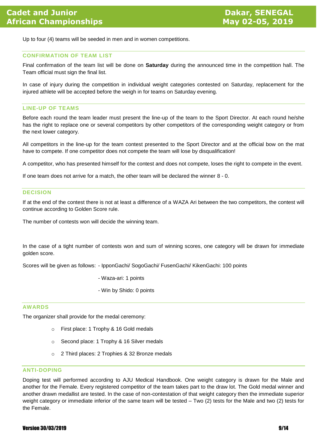Up to four (4) teams will be seeded in men and in women competitions.

#### **CONFIRMATION OF TEAM LIST**

Final confirmation of the team list will be done on **Saturday** during the announced time in the competition hall. The Team official must sign the final list.

In case of injury during the competition in individual weight categories contested on Saturday, replacement for the injured athlete will be accepted before the weigh in for teams on Saturday evening.

#### **LINE-UP OF TEAMS**

Before each round the team leader must present the line-up of the team to the Sport Director. At each round he/she has the right to replace one or several competitors by other competitors of the corresponding weight category or from the next lower category.

All competitors in the line-up for the team contest presented to the Sport Director and at the official bow on the mat have to compete. If one competitor does not compete the team will lose by disqualification!

A competitor, who has presented himself for the contest and does not compete, loses the right to compete in the event.

If one team does not arrive for a match, the other team will be declared the winner 8 - 0.

#### **DECISION**

If at the end of the contest there is not at least a difference of a WAZA Ari between the two competitors, the contest will continue according to Golden Score rule.

The number of contests won will decide the winning team.

In the case of a tight number of contests won and sum of winning scores, one category will be drawn for immediate golden score.

Scores will be given as follows: - IpponGachi/ SogoGachi/ FusenGachi/ KikenGachi: 100 points

- Waza-ari: 1 points
- Win by Shido: 0 points

#### **AWARDS**

The organizer shall provide for the medal ceremony:

- o First place: 1 Trophy & 16 Gold medals
- o Second place: 1 Trophy & 16 Silver medals
- o 2 Third places: 2 Trophies & 32 Bronze medals

#### **ANTI-DOPING**

Doping test will performed according to AJU Medical Handbook. One weight category is drawn for the Male and another for the Female. Every registered competitor of the team takes part to the draw lot. The Gold medal winner and another drawn medallist are tested. In the case of non-contestation of that weight category then the immediate superior weight category or immediate inferior of the same team will be tested – Two (2) tests for the Male and two (2) tests for the Female.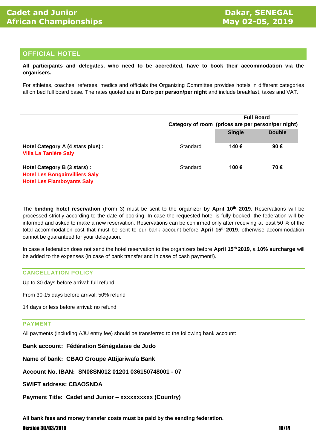### **OFFICIAL HOTEL**

**All participants and delegates, who need to be accredited, have to book their accommodation via the organisers.**

For athletes, coaches, referees, medics and officials the Organizing Committee provides hotels in different categories all on bed full board base. The rates quoted are in **Euro per person/per night** and include breakfast, taxes and VAT.

|                                                                                                            |          | <b>Full Board</b><br>Category of room (prices are per person/per night) |               |
|------------------------------------------------------------------------------------------------------------|----------|-------------------------------------------------------------------------|---------------|
|                                                                                                            |          | <b>Single</b>                                                           | <b>Double</b> |
| Hotel Category A (4 stars plus) :<br><b>Villa La Tanière Saly</b>                                          | Standard | 140 €                                                                   | 90€           |
| Hotel Category B (3 stars) :<br><b>Hotel Les Bongainvilliers Saly</b><br><b>Hotel Les Flamboyants Saly</b> | Standard | 100€                                                                    | 70€           |

The **binding hotel reservation** (Form 3) must be sent to the organizer by **April 10 th 2019**. Reservations will be processed strictly according to the date of booking. In case the requested hotel is fully booked, the federation will be informed and asked to make a new reservation. Reservations can be confirmed only after receiving at least 50 % of the total accommodation cost that must be sent to our bank account before **April 15th 2019**, otherwise accommodation cannot be guaranteed for your delegation.

In case a federation does not send the hotel reservation to the organizers before **April 15th 2019**, a **10% surcharge** will be added to the expenses (in case of bank transfer and in case of cash payment!).

#### **CANCELLATION POLICY**

Up to 30 days before arrival: full refund

From 30-15 days before arrival: 50% refund

14 days or less before arrival: no refund

#### **PAYMENT**

All payments (including AJU entry fee) should be transferred to the following bank account:

**Bank account: Fédération Sénégalaise de Judo**

**Name of bank: CBAO Groupe Attijariwafa Bank**

**Account No. IBAN: SN08SN012 01201 036150748001 - 07**

**SWIFT address: CBAOSNDA**

**Payment Title: Cadet and Junior – xxxxxxxxxx (Country)**

**All bank fees and money transfer costs must be paid by the sending federation.**

#### Version 30/03/2019 10/14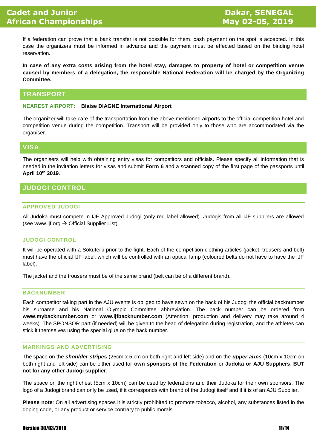If a federation can prove that a bank transfer is not possible for them, cash payment on the spot is accepted. In this case the organizers must be informed in advance and the payment must be effected based on the binding hotel reservation.

**In case of any extra costs arising from the hotel stay, damages to property of hotel or competition venue caused by members of a delegation, the responsible National Federation will be charged by the Organizing Committee.**

### **TRANSPORT**

#### **NEAREST AIRPORT: Blaise DIAGNE International Airport**

The organizer will take care of the transportation from the above mentioned airports to the official competition hotel and competition venue during the competition. Transport will be provided only to those who are accommodated via the organiser.

#### **VISA**

The organisers will help with obtaining entry visas for competitors and officials. Please specify all information that is needed in the invitation letters for visas and submit **Form 6** and a scanned copy of the first page of the passports until **April 10th 2019**.

### **JUDOGI CONTROL**

#### **APPROVED JUDOGI**

All Judoka must compete in IJF Approved Judogi (only red label allowed). Judogis from all IJF suppliers are allowed (see www.ijf.org  $\rightarrow$  Official Supplier List).

#### **JUDOGI CONTROL**

It will be operated with a Sokuteiki prior to the fight. Each of the competition clothing articles (jacket, trousers and belt) must have the official IJF label, which will be controlled with an optical lamp (coloured belts do not have to have the IJF label).

The jacket and the trousers must be of the same brand (belt can be of a different brand).

#### **BACKNUMBER**

Each competitor taking part in the AJU events is obliged to have sewn on the back of his Judogi the official backnumber his surname and his National Olympic Committee abbreviation. The back number can be ordered from **[www.mybacknumber.com](http://www.mybacknumber.com/)** or **[www.ijfbacknumber.com](http://www.ijfbacknumber.com/)** (Attention: production and delivery may take around 4 weeks). The SPONSOR part (if needed) will be given to the head of delegation during registration, and the athletes can stick it themselves using the special glue on the back number.

#### **MARKINGS AND ADVERTISING**

The space on the *shoulder stripes* (25cm x 5 cm on both right and left side) and on the *upper arms* (10cm x 10cm on both right and left side) can be either used for **own sponsors of the Federation** or **Judoka or AJU Suppliers**, **BUT not for any other Judogi supplier**.

The space on the right chest (5cm x 10cm) can be used by federations and their Judoka for their own sponsors. The logo of a Judogi brand can only be used, if it corresponds with brand of the Judogi itself and if it is of an AJU Supplier.

**Please note**: On all advertising spaces it is strictly prohibited to promote tobacco, alcohol, any substances listed in the doping code, or any product or service contrary to public morals.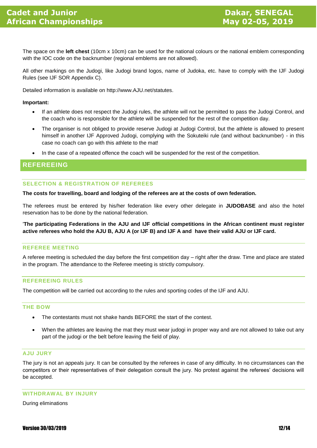The space on the **left chest** (10cm x 10cm) can be used for the national colours or the national emblem corresponding with the IOC code on the backnumber (regional emblems are not allowed).

All other markings on the Judogi, like Judogi brand logos, name of Judoka, etc. have to comply with the IJF Judogi Rules (see IJF SOR Appendix C).

Detailed information is available on [http://www.AJU.net/statutes.](http://www.eju.net/statutes)

**Important:**

- If an athlete does not respect the Judogi rules, the athlete will not be permitted to pass the Judogi Control, and the coach who is responsible for the athlete will be suspended for the rest of the competition day.
- The organiser is not obliged to provide reserve Judogi at Judogi Control, but the athlete is allowed to present himself in another IJF Approved Judogi, complying with the Sokuteiki rule (and without backnumber) - in this case no coach can go with this athlete to the mat!
- In the case of a repeated offence the coach will be suspended for the rest of the competition.

### **REFEREEING**

#### **SELECTION & REGISTRATION OF REFEREES**

**The costs for travelling, board and lodging of the referees are at the costs of own federation.**

The referees must be entered by his/her federation like every other delegate in **JUDOBASE** and also the hotel reservation has to be done by the national federation.

'**The participating Federations in the AJU and IJF official competitions in the African continent must register active referees who hold the AJU B, AJU A (or IJF B) and IJF A and have their valid AJU or IJF card.**

#### **REFEREE MEETING**

A referee meeting is scheduled the day before the first competition day – right after the draw. Time and place are stated in the program. The attendance to the Referee meeting is strictly compulsory.

#### **REFEREEING RULES**

The competition will be carried out according to the rules and sporting codes of the IJF and AJU.

#### **THE BOW**

- The contestants must not shake hands BEFORE the start of the contest.
- When the athletes are leaving the mat they must wear judogi in proper way and are not allowed to take out any part of the judogi or the belt before leaving the field of play.

#### **AJU JURY**

The jury is not an appeals jury. It can be consulted by the referees in case of any difficulty. In no circumstances can the competitors or their representatives of their delegation consult the jury. No protest against the referees' decisions will be accepted.

#### **WITHDRAWAL BY INJURY**

During eliminations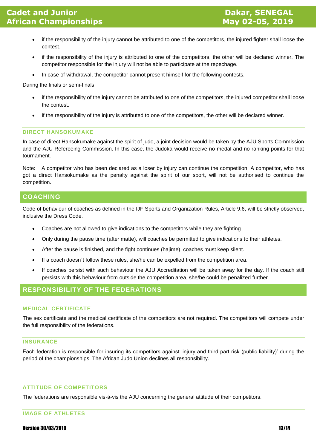- if the responsibility of the injury cannot be attributed to one of the competitors, the injured fighter shall loose the contest.
- if the responsibility of the injury is attributed to one of the competitors, the other will be declared winner. The competitor responsible for the injury will not be able to participate at the repechage.
- In case of withdrawal, the competitor cannot present himself for the following contests.

During the finals or semi-finals

- if the responsibility of the injury cannot be attributed to one of the competitors, the injured competitor shall loose the contest.
- if the responsibility of the injury is attributed to one of the competitors, the other will be declared winner.

#### **DIRECT HANSOKUMAKE**

In case of direct Hansokumake against the spirit of judo, a joint decision would be taken by the AJU Sports Commission and the AJU Refereeing Commission. In this case, the Judoka would receive no medal and no ranking points for that tournament.

Note: A competitor who has been declared as a loser by injury can continue the competition. A competitor, who has got a direct Hansokumake as the penalty against the spirit of our sport, will not be authorised to continue the competition.

### **COACHING**

Code of behaviour of coaches as defined in the IJF Sports and Organization Rules, Article 9.6, will be strictly observed, inclusive the Dress Code.

- Coaches are not allowed to give indications to the competitors while they are fighting.
- Only during the pause time (after matte), will coaches be permitted to give indications to their athletes.
- After the pause is finished, and the fight continues (hajime), coaches must keep silent.
- If a coach doesn´t follow these rules, she/he can be expelled from the competition area.
- If coaches persist with such behaviour the AJU Accreditation will be taken away for the day. If the coach still persists with this behaviour from outside the competition area, she/he could be penalized further.

### **RESPONSIBILITY OF THE FEDERATIONS**

#### **MEDICAL CERTIFICATE**

The sex certificate and the medical certificate of the competitors are not required. The competitors will compete under the full responsibility of the federations.

#### **INSURANCE**

Each federation is responsible for insuring its competitors against 'injury and third part risk (public liability)' during the period of the championships. The African Judo Union declines all responsibility.

#### **ATTITUDE OF COMPETITORS**

The federations are responsible vis-à-vis the AJU concerning the general attitude of their competitors.

#### **IMAGE OF ATHLETES**